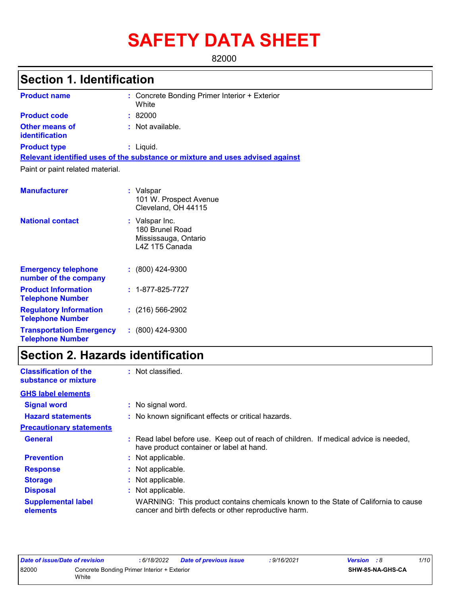# **SAFETY DATA SHEET**

82000

# **Section 1. Identification**

| <b>Product name</b>                                   | : Concrete Bonding Primer Interior + Exterior<br>White                        |
|-------------------------------------------------------|-------------------------------------------------------------------------------|
| <b>Product code</b>                                   | :82000                                                                        |
| <b>Other means of</b><br><b>identification</b>        | : Not available.                                                              |
| <b>Product type</b>                                   | : Liquid.                                                                     |
|                                                       | Relevant identified uses of the substance or mixture and uses advised against |
| Paint or paint related material.                      |                                                                               |
| <b>Manufacturer</b>                                   | : Valspar<br>101 W. Prospect Avenue<br>Cleveland, OH 44115                    |
| <b>National contact</b>                               | : Valspar Inc.<br>180 Brunel Road<br>Mississauga, Ontario<br>L4Z 1T5 Canada   |
| <b>Emergency telephone</b><br>number of the company   | $: (800)$ 424-9300                                                            |
| <b>Product Information</b><br><b>Telephone Number</b> | $: 1 - 877 - 825 - 7727$                                                      |

| <b>Regulatory Information</b>   | $: (216) 566-2902$ |
|---------------------------------|--------------------|
| <b>Telephone Number</b>         |                    |
| <b>Transportation Emergency</b> | $: (800)$ 424-9300 |

**Telephone Number**

# **Section 2. Hazards identification**

| <b>Classification of the</b><br>substance or mixture | : Not classified.                                                                                                                          |
|------------------------------------------------------|--------------------------------------------------------------------------------------------------------------------------------------------|
| <b>GHS label elements</b>                            |                                                                                                                                            |
| <b>Signal word</b>                                   | : No signal word.                                                                                                                          |
| <b>Hazard statements</b>                             | : No known significant effects or critical hazards.                                                                                        |
| <b>Precautionary statements</b>                      |                                                                                                                                            |
| <b>General</b>                                       | : Read label before use. Keep out of reach of children. If medical advice is needed,<br>have product container or label at hand.           |
| <b>Prevention</b>                                    | : Not applicable.                                                                                                                          |
| <b>Response</b>                                      | : Not applicable.                                                                                                                          |
| <b>Storage</b>                                       | : Not applicable.                                                                                                                          |
| <b>Disposal</b>                                      | : Not applicable.                                                                                                                          |
| <b>Supplemental label</b><br>elements                | WARNING: This product contains chemicals known to the State of California to cause<br>cancer and birth defects or other reproductive harm. |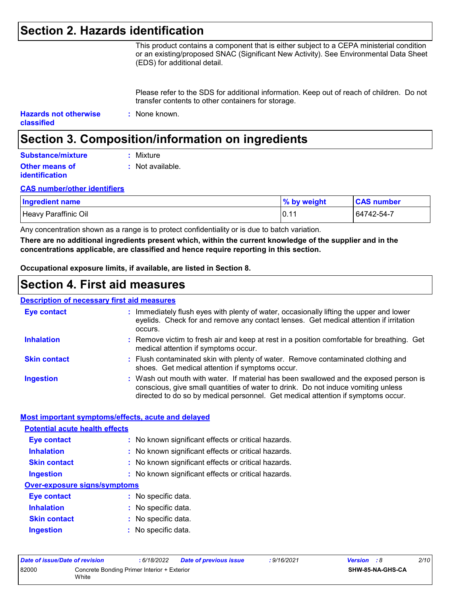### **Section 2. Hazards identification**

This product contains a component that is either subject to a CEPA ministerial condition or an existing/proposed SNAC (Significant New Activity). See Environmental Data Sheet (EDS) for additional detail.

Please refer to the SDS for additional information. Keep out of reach of children. Do not transfer contents to other containers for storage.

| <b>Hazards not otherwise</b> | : None known. |
|------------------------------|---------------|
| <b>classified</b>            |               |

# **Section 3. Composition/information on ingredients**

| Substance/mixture     | : Mixture        |
|-----------------------|------------------|
| <b>Other means of</b> | : Not available. |
| <b>identification</b> |                  |

#### **CAS number/other identifiers**

| <b>Ingredient name</b> | % by weight | <b>CAS number</b> |
|------------------------|-------------|-------------------|
| Heavy Paraffinic Oil   | 0.11        | 64742-54-7        |

Any concentration shown as a range is to protect confidentiality or is due to batch variation.

**There are no additional ingredients present which, within the current knowledge of the supplier and in the concentrations applicable, are classified and hence require reporting in this section.**

**Occupational exposure limits, if available, are listed in Section 8.**

### **Section 4. First aid measures**

#### **Description of necessary first aid measures**

| <b>Eye contact</b>  | : Immediately flush eyes with plenty of water, occasionally lifting the upper and lower<br>eyelids. Check for and remove any contact lenses. Get medical attention if irritation<br>occurs.                                                                    |
|---------------------|----------------------------------------------------------------------------------------------------------------------------------------------------------------------------------------------------------------------------------------------------------------|
| <b>Inhalation</b>   | : Remove victim to fresh air and keep at rest in a position comfortable for breathing. Get<br>medical attention if symptoms occur.                                                                                                                             |
| <b>Skin contact</b> | : Flush contaminated skin with plenty of water. Remove contaminated clothing and<br>shoes. Get medical attention if symptoms occur.                                                                                                                            |
| <b>Ingestion</b>    | : Wash out mouth with water. If material has been swallowed and the exposed person is<br>conscious, give small quantities of water to drink. Do not induce vomiting unless<br>directed to do so by medical personnel. Get medical attention if symptoms occur. |

#### **Most important symptoms/effects, acute and delayed**

| <b>Potential acute health effects</b> |                                                     |
|---------------------------------------|-----------------------------------------------------|
| <b>Eye contact</b>                    | : No known significant effects or critical hazards. |
| <b>Inhalation</b>                     | : No known significant effects or critical hazards. |
| <b>Skin contact</b>                   | : No known significant effects or critical hazards. |
| <b>Ingestion</b>                      | : No known significant effects or critical hazards. |
| <b>Over-exposure signs/symptoms</b>   |                                                     |
| Eye contact                           | : No specific data.                                 |
| <b>Inhalation</b>                     | : No specific data.                                 |
| <b>Skin contact</b>                   | : No specific data.                                 |
| <b>Ingestion</b>                      | $:$ No specific data.                               |

| Date of issue/Date of revision |                                                      | : 6/18/2022 | <b>Date of previous issue</b> | : 9/16/2021 | <b>Version</b> : 8 |                         | 2/10 |
|--------------------------------|------------------------------------------------------|-------------|-------------------------------|-------------|--------------------|-------------------------|------|
| 82000                          | Concrete Bonding Primer Interior + Exterior<br>White |             |                               |             |                    | <b>SHW-85-NA-GHS-CA</b> |      |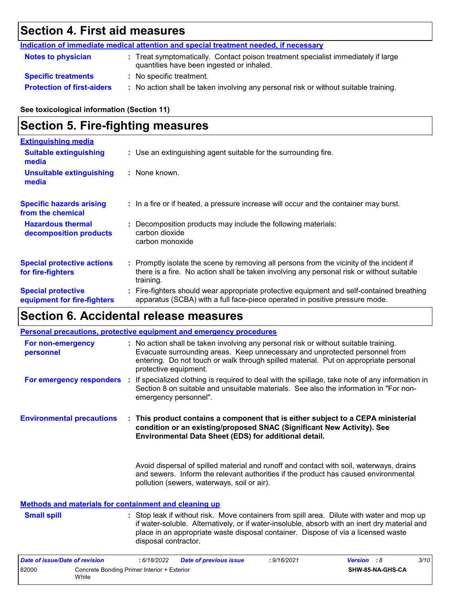# **Section 4. First aid measures**

|                                   | Indication of immediate medical attention and special treatment needed, if necessary                                           |  |
|-----------------------------------|--------------------------------------------------------------------------------------------------------------------------------|--|
| <b>Notes to physician</b>         | : Treat symptomatically. Contact poison treatment specialist immediately if large<br>quantities have been ingested or inhaled. |  |
| <b>Specific treatments</b>        | : No specific treatment.                                                                                                       |  |
| <b>Protection of first-aiders</b> | : No action shall be taken involving any personal risk or without suitable training.                                           |  |

**See toxicological information (Section 11)**

# **Section 5. Fire-fighting measures**

| <b>Extinguishing media</b>                               |                                                                                                                                                                                                     |  |
|----------------------------------------------------------|-----------------------------------------------------------------------------------------------------------------------------------------------------------------------------------------------------|--|
| <b>Suitable extinguishing</b><br>media                   | : Use an extinguishing agent suitable for the surrounding fire.                                                                                                                                     |  |
| <b>Unsuitable extinguishing</b><br>media                 | $:$ None known.                                                                                                                                                                                     |  |
| <b>Specific hazards arising</b><br>from the chemical     | : In a fire or if heated, a pressure increase will occur and the container may burst.                                                                                                               |  |
| <b>Hazardous thermal</b><br>decomposition products       | : Decomposition products may include the following materials:<br>carbon dioxide<br>carbon monoxide                                                                                                  |  |
| <b>Special protective actions</b><br>for fire-fighters   | : Promptly isolate the scene by removing all persons from the vicinity of the incident if<br>there is a fire. No action shall be taken involving any personal risk or without suitable<br>training. |  |
| <b>Special protective</b><br>equipment for fire-fighters | : Fire-fighters should wear appropriate protective equipment and self-contained breathing<br>apparatus (SCBA) with a full face-piece operated in positive pressure mode.                            |  |

# **Section 6. Accidental release measures**

|                                                              | Personal precautions, protective equipment and emergency procedures                                                                                                                                                                                                                                      |
|--------------------------------------------------------------|----------------------------------------------------------------------------------------------------------------------------------------------------------------------------------------------------------------------------------------------------------------------------------------------------------|
| For non-emergency<br>personnel                               | : No action shall be taken involving any personal risk or without suitable training.<br>Evacuate surrounding areas. Keep unnecessary and unprotected personnel from<br>entering. Do not touch or walk through spilled material. Put on appropriate personal<br>protective equipment.                     |
|                                                              | For emergency responders : If specialized clothing is required to deal with the spillage, take note of any information in<br>Section 8 on suitable and unsuitable materials. See also the information in "For non-<br>emergency personnel".                                                              |
| <b>Environmental precautions</b>                             | : This product contains a component that is either subject to a CEPA ministerial<br>condition or an existing/proposed SNAC (Significant New Activity). See<br>Environmental Data Sheet (EDS) for additional detail.                                                                                      |
|                                                              | Avoid dispersal of spilled material and runoff and contact with soil, waterways, drains<br>and sewers. Inform the relevant authorities if the product has caused environmental<br>pollution (sewers, waterways, soil or air).                                                                            |
| <b>Methods and materials for containment and cleaning up</b> |                                                                                                                                                                                                                                                                                                          |
| <b>Small spill</b>                                           | : Stop leak if without risk. Move containers from spill area. Dilute with water and mop up<br>if water-soluble. Alternatively, or if water-insoluble, absorb with an inert dry material and<br>place in an appropriate waste disposal container. Dispose of via a licensed waste<br>disposal contractor. |

| Date of issue/Date of revision |                                                      | : 6/18/2022 | <b>Date of previous issue</b> | : 9/16/2021 | <b>Version</b> : 8 |                  | 3/10 |
|--------------------------------|------------------------------------------------------|-------------|-------------------------------|-------------|--------------------|------------------|------|
| 82000                          | Concrete Bonding Primer Interior + Exterior<br>White |             |                               |             |                    | SHW-85-NA-GHS-CA |      |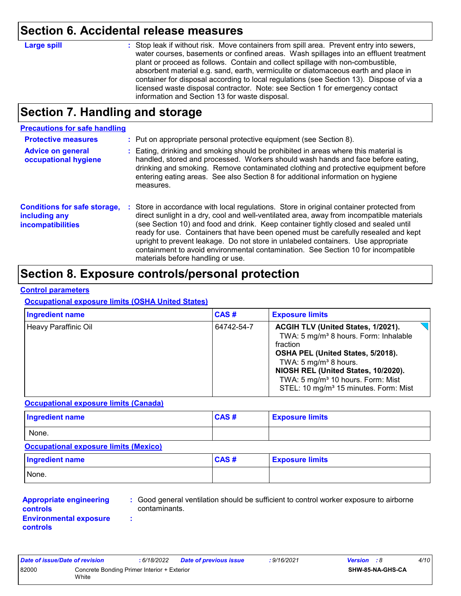### **Section 6. Accidental release measures**

| <b>Large spill</b> | : Stop leak if without risk. Move containers from spill area. Prevent entry into sewers, |
|--------------------|------------------------------------------------------------------------------------------|
|                    | water courses, basements or confined areas. Wash spillages into an effluent treatment    |
|                    | plant or proceed as follows. Contain and collect spillage with non-combustible,          |
|                    | absorbent material e.g. sand, earth, vermiculite or diatomaceous earth and place in      |
|                    | container for disposal according to local regulations (see Section 13). Dispose of via a |
|                    | licensed waste disposal contractor. Note: see Section 1 for emergency contact            |
|                    | information and Section 13 for waste disposal.                                           |

## **Section 7. Handling and storage**

### **Precautions for safe handling**

| <b>Protective measures</b><br><b>Advice on general</b><br>occupational hygiene   | : Put on appropriate personal protective equipment (see Section 8).<br>: Eating, drinking and smoking should be prohibited in areas where this material is<br>handled, stored and processed. Workers should wash hands and face before eating,<br>drinking and smoking. Remove contaminated clothing and protective equipment before<br>entering eating areas. See also Section 8 for additional information on hygiene<br>measures.                                                                                                                                               |
|----------------------------------------------------------------------------------|------------------------------------------------------------------------------------------------------------------------------------------------------------------------------------------------------------------------------------------------------------------------------------------------------------------------------------------------------------------------------------------------------------------------------------------------------------------------------------------------------------------------------------------------------------------------------------|
| <b>Conditions for safe storage,</b><br>including any<br><b>incompatibilities</b> | : Store in accordance with local regulations. Store in original container protected from<br>direct sunlight in a dry, cool and well-ventilated area, away from incompatible materials<br>(see Section 10) and food and drink. Keep container tightly closed and sealed until<br>ready for use. Containers that have been opened must be carefully resealed and kept<br>upright to prevent leakage. Do not store in unlabeled containers. Use appropriate<br>containment to avoid environmental contamination. See Section 10 for incompatible<br>materials before handling or use. |

### **Section 8. Exposure controls/personal protection**

### **Control parameters**

#### **Occupational exposure limits (OSHA United States)**

| <b>Ingredient name</b> | CAS#       | <b>Exposure limits</b>                                                                                                                                                                                                                                                                                                     |
|------------------------|------------|----------------------------------------------------------------------------------------------------------------------------------------------------------------------------------------------------------------------------------------------------------------------------------------------------------------------------|
| Heavy Paraffinic Oil   | 64742-54-7 | ACGIH TLV (United States, 1/2021).<br>TWA: 5 mg/m <sup>3</sup> 8 hours. Form: Inhalable<br>fraction<br>OSHA PEL (United States, 5/2018).<br>TWA: 5 mg/m <sup>3</sup> 8 hours.<br>NIOSH REL (United States, 10/2020).<br>TWA: 5 mg/m <sup>3</sup> 10 hours. Form: Mist<br>STEL: 10 mg/m <sup>3</sup> 15 minutes. Form: Mist |

#### **Occupational exposure limits (Canada)**

| <b>Ingredient name</b> | CAS# | <b>Exposure limits</b> |
|------------------------|------|------------------------|
| None.                  |      |                        |

### **Occupational exposure limits (Mexico)**

| Ingredient name | CAS# | <b>Exposure limits</b> |
|-----------------|------|------------------------|
| None.           |      |                        |

#### **Appropriate engineering controls Environmental exposure controls**

**:** Good general ventilation should be sufficient to control worker exposure to airborne contaminants.

**:**

| Date of issue/Date of revision                       |       | : 6/18/2022 | <b>Date of previous issue</b> | : 9/16/2021 | <b>Version</b> : 8 |                  | 4/10 |  |
|------------------------------------------------------|-------|-------------|-------------------------------|-------------|--------------------|------------------|------|--|
| 82000<br>Concrete Bonding Primer Interior + Exterior |       |             |                               |             |                    | SHW-85-NA-GHS-CA |      |  |
|                                                      | White |             |                               |             |                    |                  |      |  |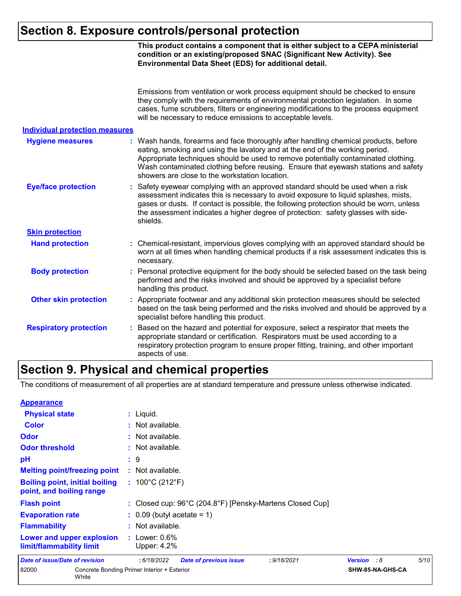# **Section 8. Exposure controls/personal protection**

|                                       | This product contains a component that is either subject to a CEPA ministerial<br>condition or an existing/proposed SNAC (Significant New Activity). See<br>Environmental Data Sheet (EDS) for additional detail.                                                                                                                                                                                 |
|---------------------------------------|---------------------------------------------------------------------------------------------------------------------------------------------------------------------------------------------------------------------------------------------------------------------------------------------------------------------------------------------------------------------------------------------------|
|                                       | Emissions from ventilation or work process equipment should be checked to ensure<br>they comply with the requirements of environmental protection legislation. In some<br>cases, fume scrubbers, filters or engineering modifications to the process equipment<br>will be necessary to reduce emissions to acceptable levels.                                                                     |
| <b>Individual protection measures</b> |                                                                                                                                                                                                                                                                                                                                                                                                   |
| <b>Hygiene measures</b>               | : Wash hands, forearms and face thoroughly after handling chemical products, before<br>eating, smoking and using the lavatory and at the end of the working period.<br>Appropriate techniques should be used to remove potentially contaminated clothing.<br>Wash contaminated clothing before reusing. Ensure that eyewash stations and safety<br>showers are close to the workstation location. |
| <b>Eye/face protection</b>            | Safety eyewear complying with an approved standard should be used when a risk<br>assessment indicates this is necessary to avoid exposure to liquid splashes, mists,<br>gases or dusts. If contact is possible, the following protection should be worn, unless<br>the assessment indicates a higher degree of protection: safety glasses with side-<br>shields.                                  |
| <b>Skin protection</b>                |                                                                                                                                                                                                                                                                                                                                                                                                   |
| <b>Hand protection</b>                | Chemical-resistant, impervious gloves complying with an approved standard should be<br>worn at all times when handling chemical products if a risk assessment indicates this is<br>necessary.                                                                                                                                                                                                     |
| <b>Body protection</b>                | Personal protective equipment for the body should be selected based on the task being<br>performed and the risks involved and should be approved by a specialist before<br>handling this product.                                                                                                                                                                                                 |
| <b>Other skin protection</b>          | Appropriate footwear and any additional skin protection measures should be selected<br>based on the task being performed and the risks involved and should be approved by a<br>specialist before handling this product.                                                                                                                                                                           |
| <b>Respiratory protection</b>         | Based on the hazard and potential for exposure, select a respirator that meets the<br>appropriate standard or certification. Respirators must be used according to a<br>respiratory protection program to ensure proper fitting, training, and other important<br>aspects of use.                                                                                                                 |

# **Section 9. Physical and chemical properties**

The conditions of measurement of all properties are at standard temperature and pressure unless otherwise indicated.

| <b>Appearance</b>                                                 |                                                             |                      |      |  |  |  |  |  |
|-------------------------------------------------------------------|-------------------------------------------------------------|----------------------|------|--|--|--|--|--|
| <b>Physical state</b>                                             | $:$ Liquid.                                                 |                      |      |  |  |  |  |  |
| <b>Color</b>                                                      | : Not available.                                            |                      |      |  |  |  |  |  |
| Odor                                                              | : Not available.                                            |                      |      |  |  |  |  |  |
| <b>Odor threshold</b>                                             | : Not available.                                            |                      |      |  |  |  |  |  |
| pH                                                                | : 9                                                         |                      |      |  |  |  |  |  |
| <b>Melting point/freezing point</b>                               | : Not available.                                            |                      |      |  |  |  |  |  |
| <b>Boiling point, initial boiling</b><br>point, and boiling range | : $100^{\circ}$ C (212 $^{\circ}$ F)                        |                      |      |  |  |  |  |  |
| <b>Flash point</b>                                                | : Closed cup: 96°C (204.8°F) [Pensky-Martens Closed Cup]    |                      |      |  |  |  |  |  |
| <b>Evaporation rate</b>                                           | $\therefore$ 0.09 (butyl acetate = 1)                       |                      |      |  |  |  |  |  |
| <b>Flammability</b>                                               | : Not available.                                            |                      |      |  |  |  |  |  |
| Lower and upper explosion<br>limit/flammability limit             | : Lower: $0.6\%$<br>Upper: 4.2%                             |                      |      |  |  |  |  |  |
| Date of issue/Date of revision                                    | : 6/18/2022<br><b>Date of previous issue</b><br>: 9/16/2021 | <b>Version</b><br>:8 | 5/10 |  |  |  |  |  |
| 82000<br>White                                                    | Concrete Bonding Primer Interior + Exterior                 | SHW-85-NA-GHS-CA     |      |  |  |  |  |  |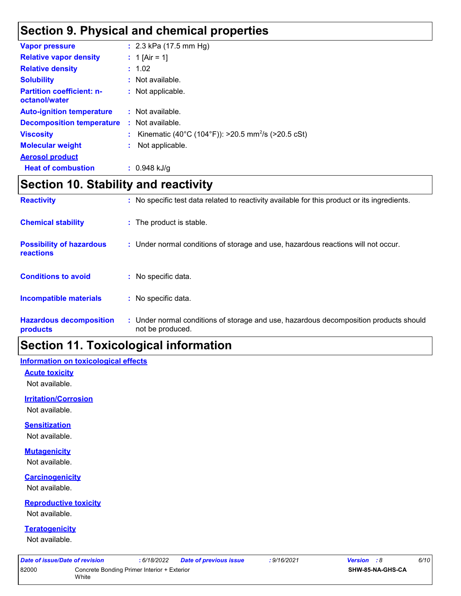## **Section 9. Physical and chemical properties**

| <b>Vapor pressure</b>                             | : $2.3$ kPa (17.5 mm Hg)                                       |
|---------------------------------------------------|----------------------------------------------------------------|
|                                                   |                                                                |
| <b>Relative vapor density</b>                     | : 1 [Air = 1]                                                  |
| <b>Relative density</b>                           | : 1.02                                                         |
| <b>Solubility</b>                                 | : Not available.                                               |
| <b>Partition coefficient: n-</b><br>octanol/water | : Not applicable.                                              |
| <b>Auto-ignition temperature</b>                  | $\therefore$ Not available.                                    |
| <b>Decomposition temperature</b>                  | $\therefore$ Not available.                                    |
| <b>Viscosity</b>                                  | Kinematic (40°C (104°F)): >20.5 mm <sup>2</sup> /s (>20.5 cSt) |
| <b>Molecular weight</b>                           | Not applicable.                                                |
| <b>Aerosol product</b>                            |                                                                |
| <b>Heat of combustion</b>                         | $: 0.948$ kJ/g                                                 |

# **Section 10. Stability and reactivity**

| <b>Reactivity</b>                                   | : No specific test data related to reactivity available for this product or its ingredients.              |
|-----------------------------------------------------|-----------------------------------------------------------------------------------------------------------|
| <b>Chemical stability</b>                           | : The product is stable.                                                                                  |
| <b>Possibility of hazardous</b><br><b>reactions</b> | : Under normal conditions of storage and use, hazardous reactions will not occur.                         |
| <b>Conditions to avoid</b>                          | $:$ No specific data.                                                                                     |
| <b>Incompatible materials</b>                       | : No specific data.                                                                                       |
| <b>Hazardous decomposition</b><br>products          | : Under normal conditions of storage and use, hazardous decomposition products should<br>not be produced. |

# **Section 11. Toxicological information**

### **Information on toxicological effects**

#### **Acute toxicity**

Not available.

### **Irritation/Corrosion**

Not available.

#### **Sensitization**

Not available.

#### **Mutagenicity**

Not available.

#### **Carcinogenicity**

Not available.

#### **Reproductive toxicity**

Not available.

#### **Teratogenicity**

Not available.

| Date of issue/Date of revision                       |  | : 6/18/2022 | Date of previous issue | 9/16/2021: | <b>Version</b> : 8 |                  | 6/10 |  |
|------------------------------------------------------|--|-------------|------------------------|------------|--------------------|------------------|------|--|
| 82000<br>Concrete Bonding Primer Interior + Exterior |  |             |                        |            |                    | SHW-85-NA-GHS-CA |      |  |
|                                                      |  |             |                        |            |                    |                  |      |  |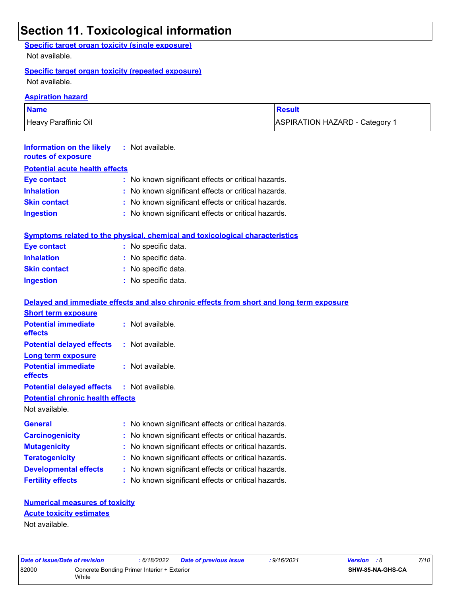### **Section 11. Toxicological information**

### **Specific target organ toxicity (single exposure)**

Not available.

### **Specific target organ toxicity (repeated exposure)**

Not available.

#### **Aspiration hazard**

| <b>Name</b>          | Result                         |
|----------------------|--------------------------------|
| Heavy Paraffinic Oil | ASPIRATION HAZARD - Category 1 |

| Information on the likely<br>routes of exposure | : Not available.                                                                    |  |  |  |  |
|-------------------------------------------------|-------------------------------------------------------------------------------------|--|--|--|--|
| <b>Potential acute health effects</b>           |                                                                                     |  |  |  |  |
| <b>Eye contact</b>                              | : No known significant effects or critical hazards.                                 |  |  |  |  |
| <b>Inhalation</b>                               | : No known significant effects or critical hazards.                                 |  |  |  |  |
| <b>Skin contact</b>                             | : No known significant effects or critical hazards.                                 |  |  |  |  |
| <b>Ingestion</b>                                | : No known significant effects or critical hazards.                                 |  |  |  |  |
|                                                 |                                                                                     |  |  |  |  |
|                                                 | <b>Symptoms related to the physical, chemical and toxicological characteristics</b> |  |  |  |  |

| Eye contact         | : No specific data. |
|---------------------|---------------------|
| <b>Inhalation</b>   | : No specific data. |
| <b>Skin contact</b> | : No specific data. |
| <b>Ingestion</b>    | : No specific data. |

|                                                   | Delayed and immediate effects and also chronic effects from short and long term exposure |
|---------------------------------------------------|------------------------------------------------------------------------------------------|
| <b>Short term exposure</b>                        |                                                                                          |
| <b>Potential immediate</b><br><b>effects</b>      | : Not available.                                                                         |
| <b>Potential delayed effects : Not available.</b> |                                                                                          |
| <b>Long term exposure</b>                         |                                                                                          |
| <b>Potential immediate</b><br><b>effects</b>      | : Not available.                                                                         |
| <b>Potential delayed effects : Not available.</b> |                                                                                          |
| <b>Potential chronic health effects</b>           |                                                                                          |
| Not available.                                    |                                                                                          |
| <b>General</b>                                    | : No known significant effects or critical hazards.                                      |
| <b>Carcinogenicity</b>                            | : No known significant effects or critical hazards.                                      |
| <b>Mutagenicity</b>                               | : No known significant effects or critical hazards.                                      |
| <b>Teratogenicity</b>                             | : No known significant effects or critical hazards.                                      |
| <b>Developmental effects</b>                      | : No known significant effects or critical hazards.                                      |
| <b>Fertility effects</b>                          | : No known significant effects or critical hazards.                                      |

### **Numerical measures of toxicity** Not available. **Acute toxicity estimates**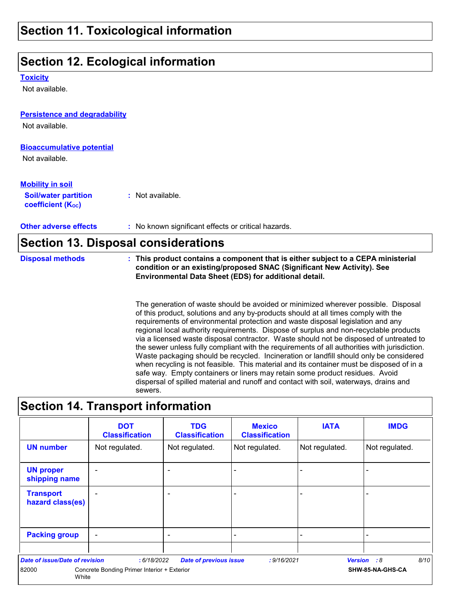### **Section 11. Toxicological information**

## **Section 12. Ecological information**

**Toxicity**

Not available.

### **Persistence and degradability**

Not available.

#### **Bioaccumulative potential**

Not available.

### **Mobility in soil**

**Soil/water partition coefficient (K**<sub>oc</sub>)

**:** Not available.

**Other adverse effects :** No known significant effects or critical hazards.

### **Section 13. Disposal considerations**

**Disposal methods : This product contains a component that is either subject to a CEPA ministerial condition or an existing/proposed SNAC (Significant New Activity). See Environmental Data Sheet (EDS) for additional detail.**

> The generation of waste should be avoided or minimized wherever possible. Disposal of this product, solutions and any by-products should at all times comply with the requirements of environmental protection and waste disposal legislation and any regional local authority requirements. Dispose of surplus and non-recyclable products via a licensed waste disposal contractor. Waste should not be disposed of untreated to the sewer unless fully compliant with the requirements of all authorities with jurisdiction. Waste packaging should be recycled. Incineration or landfill should only be considered when recycling is not feasible. This material and its container must be disposed of in a safe way. Empty containers or liners may retain some product residues. Avoid dispersal of spilled material and runoff and contact with soil, waterways, drains and sewers.

### **Section 14. Transport information**

|                                       | <b>DOT</b><br><b>Classification</b>         | <b>TDG</b><br><b>Classification</b> | <b>Mexico</b><br><b>Classification</b> | <b>IATA</b>    | <b>IMDG</b>         |
|---------------------------------------|---------------------------------------------|-------------------------------------|----------------------------------------|----------------|---------------------|
| <b>UN number</b>                      | Not regulated.                              | Not regulated.                      | Not regulated.                         | Not regulated. | Not regulated.      |
| <b>UN proper</b><br>shipping name     | $\overline{a}$                              | $\overline{\phantom{0}}$            |                                        | -              |                     |
| <b>Transport</b><br>hazard class(es)  | -                                           | ۰                                   |                                        | -              |                     |
| <b>Packing group</b>                  | $\sim$                                      | $\blacksquare$                      |                                        | ۰              |                     |
| <b>Date of issue/Date of revision</b> | : 6/18/2022                                 | <b>Date of previous issue</b>       | : 9/16/2021                            |                | 8/10<br>Version : 8 |
| 82000<br>White                        | Concrete Bonding Primer Interior + Exterior |                                     |                                        |                | SHW-85-NA-GHS-CA    |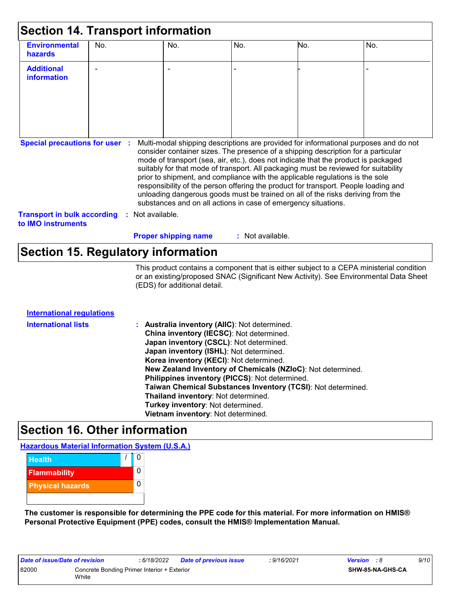| <b>Environmental</b><br>hazards                          | No. |                | No.                                                                                                                                                                                                                                                                                                                                                                                                                                                                                                                                                                                                                                                                                 | No.              | No. | No. |
|----------------------------------------------------------|-----|----------------|-------------------------------------------------------------------------------------------------------------------------------------------------------------------------------------------------------------------------------------------------------------------------------------------------------------------------------------------------------------------------------------------------------------------------------------------------------------------------------------------------------------------------------------------------------------------------------------------------------------------------------------------------------------------------------------|------------------|-----|-----|
| <b>Additional</b><br>information                         |     |                |                                                                                                                                                                                                                                                                                                                                                                                                                                                                                                                                                                                                                                                                                     |                  |     |     |
| <b>Special precautions for user :</b>                    |     |                | Multi-modal shipping descriptions are provided for informational purposes and do not<br>consider container sizes. The presence of a shipping description for a particular<br>mode of transport (sea, air, etc.), does not indicate that the product is packaged<br>suitably for that mode of transport. All packaging must be reviewed for suitability<br>prior to shipment, and compliance with the applicable regulations is the sole<br>responsibility of the person offering the product for transport. People loading and<br>unloading dangerous goods must be trained on all of the risks deriving from the<br>substances and on all actions in case of emergency situations. |                  |     |     |
| <b>Transport in bulk according</b><br>to IMO instruments |     | Not available. |                                                                                                                                                                                                                                                                                                                                                                                                                                                                                                                                                                                                                                                                                     |                  |     |     |
|                                                          |     |                | <b>Proper shipping name</b>                                                                                                                                                                                                                                                                                                                                                                                                                                                                                                                                                                                                                                                         | : Not available. |     |     |

### **Section 15. Regulatory information**

This product contains a component that is either subject to a CEPA ministerial condition or an existing/proposed SNAC (Significant New Activity). See Environmental Data Sheet (EDS) for additional detail.

| <b>International regulations</b> |                                                              |
|----------------------------------|--------------------------------------------------------------|
| <b>International lists</b>       | : Australia inventory (AIIC): Not determined.                |
|                                  | China inventory (IECSC): Not determined.                     |
|                                  | Japan inventory (CSCL): Not determined.                      |
|                                  | Japan inventory (ISHL): Not determined.                      |
|                                  | Korea inventory (KECI): Not determined.                      |
|                                  | New Zealand Inventory of Chemicals (NZIoC): Not determined.  |
|                                  | Philippines inventory (PICCS): Not determined.               |
|                                  | Taiwan Chemical Substances Inventory (TCSI): Not determined. |
|                                  | Thailand inventory: Not determined.                          |
|                                  | Turkey inventory: Not determined.                            |
|                                  | Vietnam inventory: Not determined.                           |
|                                  |                                                              |

# **Section 16. Other information**

**Hazardous Material Information System (U.S.A.)**



**The customer is responsible for determining the PPE code for this material. For more information on HMIS® Personal Protective Equipment (PPE) codes, consult the HMIS® Implementation Manual.**

| Date of issue/Date of revision |                                                      | : 6/18/2022 | <b>Date of previous issue</b> | : 9/16/2021 | <b>Version</b> : 8 |                  | 9/10 |
|--------------------------------|------------------------------------------------------|-------------|-------------------------------|-------------|--------------------|------------------|------|
| 82000                          | Concrete Bonding Primer Interior + Exterior<br>White |             |                               |             |                    | SHW-85-NA-GHS-CA |      |